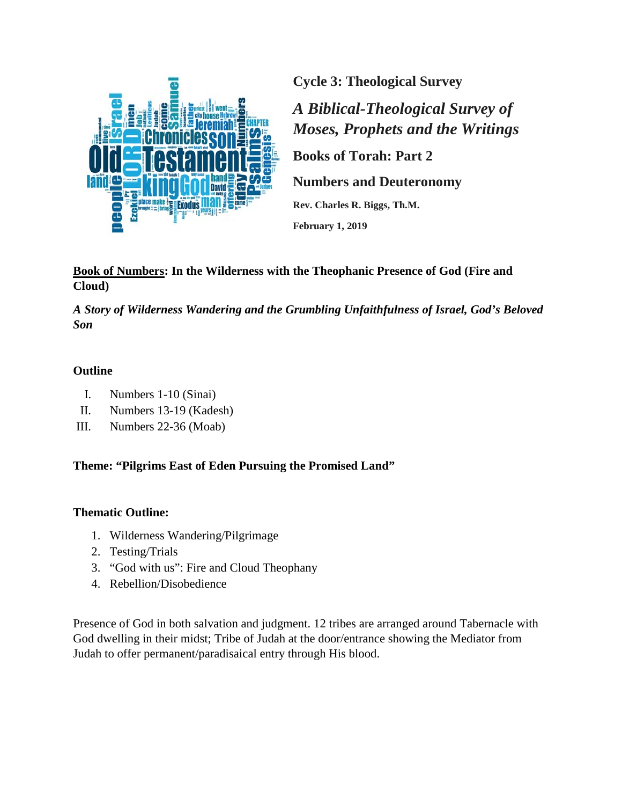

**Cycle 3: Theological Survey**

*A Biblical-Theological Survey of Moses, Prophets and the Writings*

**Books of Torah: Part 2**

**Numbers and Deuteronomy**

**Rev. Charles R. Biggs, Th.M.**

**February 1, 2019**

**Book of Numbers: In the Wilderness with the Theophanic Presence of God (Fire and Cloud)**

*A Story of Wilderness Wandering and the Grumbling Unfaithfulness of Israel, God's Beloved Son*

## **Outline**

- I. Numbers 1-10 (Sinai)
- II. Numbers 13-19 (Kadesh)
- III. Numbers 22-36 (Moab)

**Theme: "Pilgrims East of Eden Pursuing the Promised Land"**

### **Thematic Outline:**

- 1. Wilderness Wandering/Pilgrimage
- 2. Testing/Trials
- 3. "God with us": Fire and Cloud Theophany
- 4. Rebellion/Disobedience

Presence of God in both salvation and judgment. 12 tribes are arranged around Tabernacle with God dwelling in their midst; Tribe of Judah at the door/entrance showing the Mediator from Judah to offer permanent/paradisaical entry through His blood.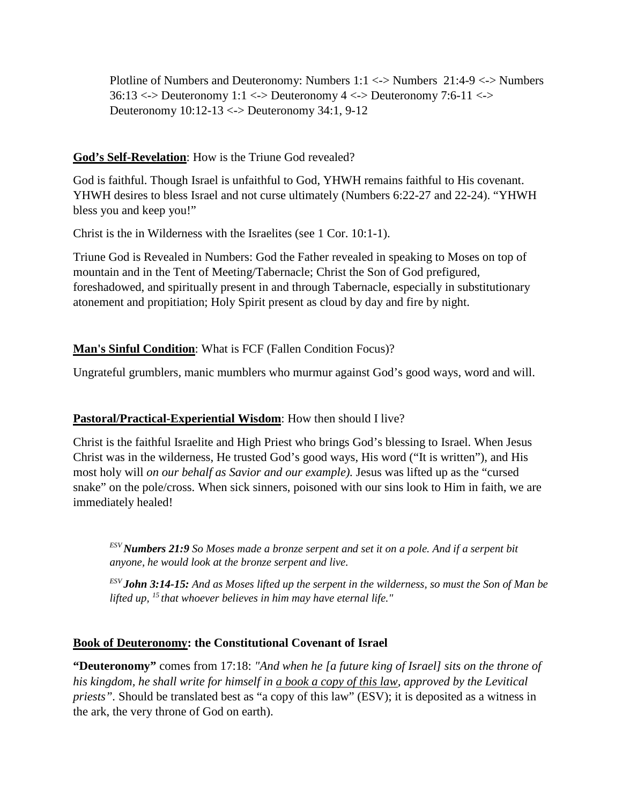Plotline of Numbers and Deuteronomy: Numbers 1:1 <-> Numbers 21:4-9 <-> Numbers 36:13 <-> Deuteronomy 1:1 <-> Deuteronomy 4 <-> Deuteronomy 7:6-11 <-> Deuteronomy 10:12-13 <-> Deuteronomy 34:1, 9-12

## **God's Self-Revelation**: How is the Triune God revealed?

God is faithful. Though Israel is unfaithful to God, YHWH remains faithful to His covenant. YHWH desires to bless Israel and not curse ultimately (Numbers 6:22-27 and 22-24). "YHWH bless you and keep you!"

Christ is the in Wilderness with the Israelites (see 1 Cor. 10:1-1).

Triune God is Revealed in Numbers: God the Father revealed in speaking to Moses on top of mountain and in the Tent of Meeting/Tabernacle; Christ the Son of God prefigured, foreshadowed, and spiritually present in and through Tabernacle, especially in substitutionary atonement and propitiation; Holy Spirit present as cloud by day and fire by night.

## **Man's Sinful Condition**: What is FCF (Fallen Condition Focus)?

Ungrateful grumblers, manic mumblers who murmur against God's good ways, word and will.

## **Pastoral/Practical-Experiential Wisdom**: How then should I live?

Christ is the faithful Israelite and High Priest who brings God's blessing to Israel. When Jesus Christ was in the wilderness, He trusted God's good ways, His word ("It is written"), and His most holy will *on our behalf as Savior and our example).* Jesus was lifted up as the "cursed snake" on the pole/cross. When sick sinners, poisoned with our sins look to Him in faith, we are immediately healed!

*ESV Numbers 21:9 So Moses made a bronze serpent and set it on a pole. And if a serpent bit anyone, he would look at the bronze serpent and live.*

*ESV John 3:14-15: And as Moses lifted up the serpent in the wilderness, so must the Son of Man be lifted up, 15 that whoever believes in him may have eternal life."*

### **Book of Deuteronomy: the Constitutional Covenant of Israel**

**"Deuteronomy"** comes from 17:18: *"And when he [a future king of Israel] sits on the throne of his kingdom, he shall write for himself in a book a copy of this law, approved by the Levitical priests".* Should be translated best as "a copy of this law" (ESV); it is deposited as a witness in the ark, the very throne of God on earth).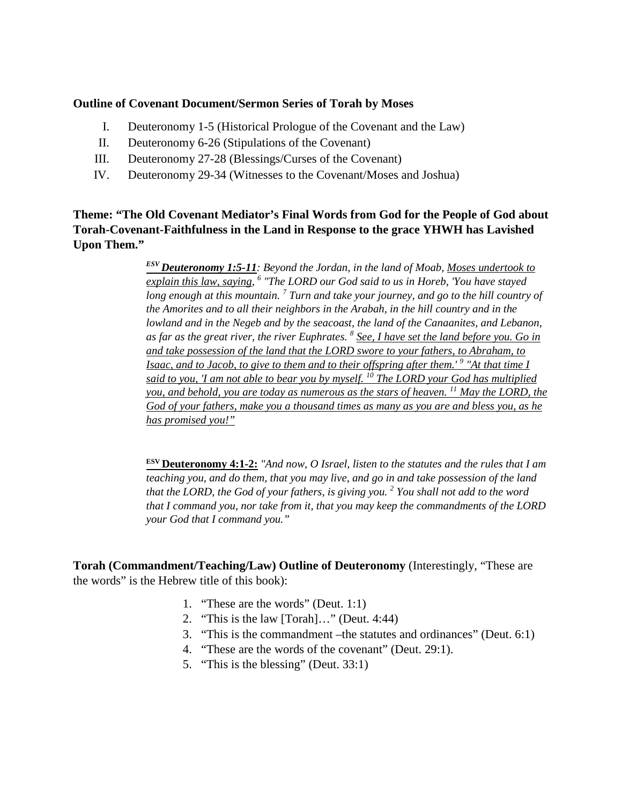#### **Outline of Covenant Document/Sermon Series of Torah by Moses**

- I. Deuteronomy 1-5 (Historical Prologue of the Covenant and the Law)
- II. Deuteronomy 6-26 (Stipulations of the Covenant)
- III. Deuteronomy 27-28 (Blessings/Curses of the Covenant)
- IV. Deuteronomy 29-34 (Witnesses to the Covenant/Moses and Joshua)

**Theme: "The Old Covenant Mediator's Final Words from God for the People of God about Torah-Covenant-Faithfulness in the Land in Response to the grace YHWH has Lavished Upon Them."**

> *ESV Deuteronomy 1:5-11: Beyond the Jordan, in the land of Moab, Moses undertook to explain this law, saying, <sup>6</sup> "The LORD our God said to us in Horeb, 'You have stayed long enough at this mountain. 7 Turn and take your journey, and go to the hill country of the Amorites and to all their neighbors in the Arabah, in the hill country and in the lowland and in the Negeb and by the seacoast, the land of the Canaanites, and Lebanon, as far as the great river, the river Euphrates. <sup>8</sup> See, I have set the land before you. Go in and take possession of the land that the LORD swore to your fathers, to Abraham, to Isaac, and to Jacob, to give to them and to their offspring after them.'* <sup>9</sup> "At that time I *said to you, 'I am not able to bear you by myself. <sup>10</sup> The LORD your God has multiplied you, and behold, you are today as numerous as the stars of heaven. 11 May the LORD, the God of your fathers, make you a thousand times as many as you are and bless you, as he has promised you!"*

> **ESV Deuteronomy 4:1-2:** *"And now, O Israel, listen to the statutes and the rules that I am teaching you, and do them, that you may live, and go in and take possession of the land that the LORD, the God of your fathers, is giving you. 2 You shall not add to the word that I command you, nor take from it, that you may keep the commandments of the LORD your God that I command you."*

**Torah (Commandment/Teaching/Law) Outline of Deuteronomy** (Interestingly, "These are the words" is the Hebrew title of this book):

- 1. "These are the words" (Deut. 1:1)
- 2. "This is the law [Torah]…" (Deut. 4:44)
- 3. "This is the commandment –the statutes and ordinances" (Deut. 6:1)
- 4. "These are the words of the covenant" (Deut. 29:1).
- 5. "This is the blessing" (Deut. 33:1)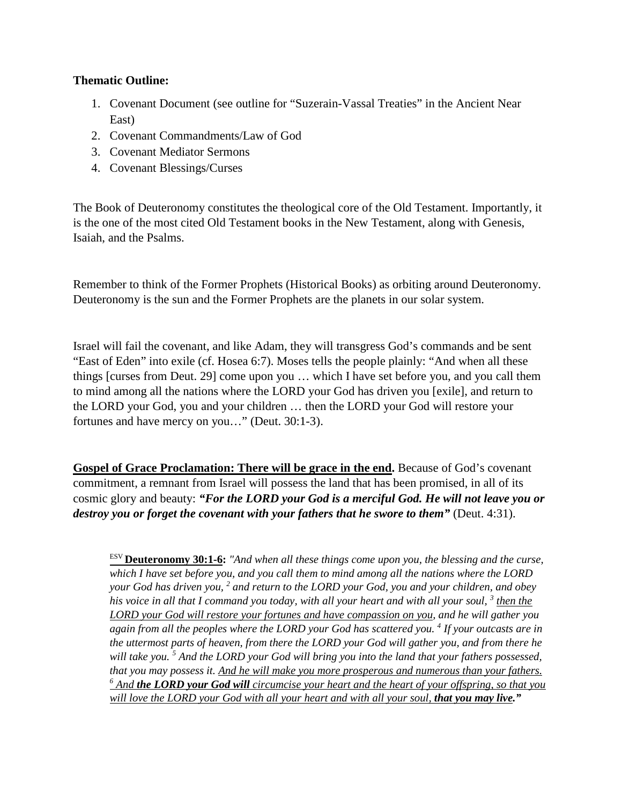### **Thematic Outline:**

- 1. Covenant Document (see outline for "Suzerain-Vassal Treaties" in the Ancient Near East)
- 2. Covenant Commandments/Law of God
- 3. Covenant Mediator Sermons
- 4. Covenant Blessings/Curses

The Book of Deuteronomy constitutes the theological core of the Old Testament. Importantly, it is the one of the most cited Old Testament books in the New Testament, along with Genesis, Isaiah, and the Psalms.

Remember to think of the Former Prophets (Historical Books) as orbiting around Deuteronomy. Deuteronomy is the sun and the Former Prophets are the planets in our solar system.

Israel will fail the covenant, and like Adam, they will transgress God's commands and be sent "East of Eden" into exile (cf. Hosea 6:7). Moses tells the people plainly: "And when all these things [curses from Deut. 29] come upon you … which I have set before you, and you call them to mind among all the nations where the LORD your God has driven you [exile], and return to the LORD your God, you and your children … then the LORD your God will restore your fortunes and have mercy on you…" (Deut. 30:1-3).

**Gospel of Grace Proclamation: There will be grace in the end.** Because of God's covenant commitment, a remnant from Israel will possess the land that has been promised, in all of its cosmic glory and beauty: *"For the LORD your God is a merciful God. He will not leave you or destroy you or forget the covenant with your fathers that he swore to them*  $\degree$  (Deut. 4:31).

ESV **Deuteronomy 30:1-6:** *"And when all these things come upon you, the blessing and the curse, which I have set before you, and you call them to mind among all the nations where the LORD your God has driven you, <sup>2</sup> and return to the LORD your God, you and your children, and obey his voice in all that I command you today, with all your heart and with all your soul, 3 then the LORD your God will restore your fortunes and have compassion on you, and he will gather you again from all the peoples where the LORD your God has scattered you. <sup>4</sup> If your outcasts are in the uttermost parts of heaven, from there the LORD your God will gather you, and from there he will take you. 5 And the LORD your God will bring you into the land that your fathers possessed, that you may possess it. And he will make you more prosperous and numerous than your fathers. <sup>6</sup> And the LORD your God will circumcise your heart and the heart of your offspring, so that you will love the LORD your God with all your heart and with all your soul, that you may live.*"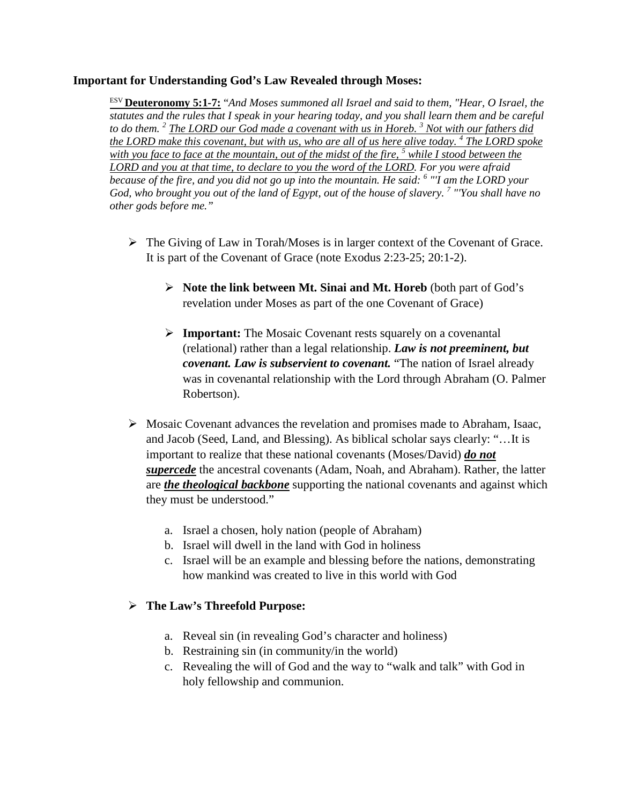#### **Important for Understanding God's Law Revealed through Moses:**

ESV **Deuteronomy 5:1-7:** "*And Moses summoned all Israel and said to them, "Hear, O Israel, the statutes and the rules that I speak in your hearing today, and you shall learn them and be careful to do them. <sup>2</sup> The LORD our God made a covenant with us in Horeb. 3 Not with our fathers did the LORD make this covenant, but with us, who are all of us here alive today. 4 The LORD spoke with you face to face at the mountain, out of the midst of the fire, <sup>5</sup> while I stood between the LORD and you at that time, to declare to you the word of the LORD. For you were afraid because of the fire, and you did not go up into the mountain. He said: <sup>6</sup> "'I am the LORD your God, who brought you out of the land of Egypt, out of the house of slavery. 7 "'You shall have no other gods before me."*

- $\triangleright$  The Giving of Law in Torah/Moses is in larger context of the Covenant of Grace. It is part of the Covenant of Grace (note Exodus 2:23-25; 20:1-2).
	- **Note the link between Mt. Sinai and Mt. Horeb** (both part of God's revelation under Moses as part of the one Covenant of Grace)
	- **Important:** The Mosaic Covenant rests squarely on a covenantal (relational) rather than a legal relationship. *Law is not preeminent, but covenant. Law is subservient to covenant.* "The nation of Israel already was in covenantal relationship with the Lord through Abraham (O. Palmer Robertson).
- $\triangleright$  Mosaic Covenant advances the revelation and promises made to Abraham, Isaac, and Jacob (Seed, Land, and Blessing). As biblical scholar says clearly: "…It is important to realize that these national covenants (Moses/David) *do not supercede* the ancestral covenants (Adam, Noah, and Abraham). Rather, the latter are *the theological backbone* supporting the national covenants and against which they must be understood."
	- a. Israel a chosen, holy nation (people of Abraham)
	- b. Israel will dwell in the land with God in holiness
	- c. Israel will be an example and blessing before the nations, demonstrating how mankind was created to live in this world with God

### **The Law's Threefold Purpose:**

- a. Reveal sin (in revealing God's character and holiness)
- b. Restraining sin (in community/in the world)
- c. Revealing the will of God and the way to "walk and talk" with God in holy fellowship and communion.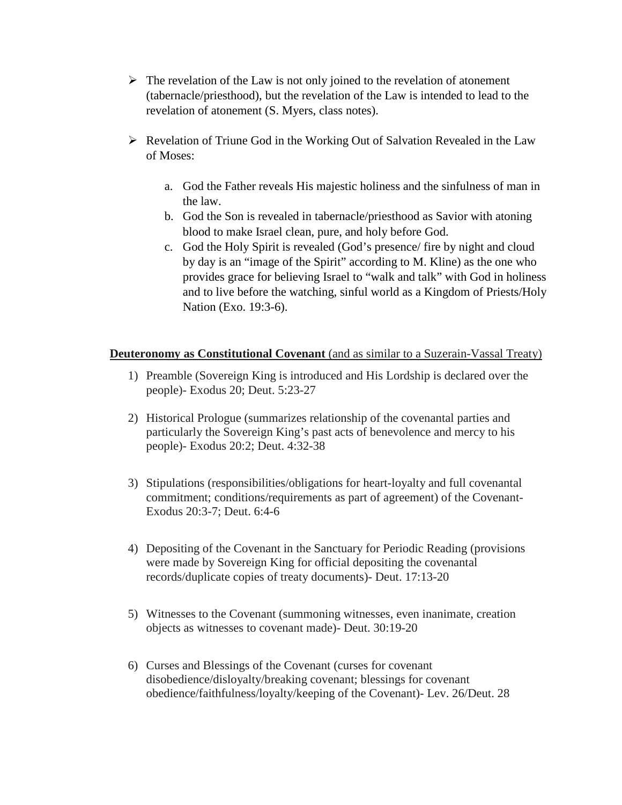- $\triangleright$  The revelation of the Law is not only joined to the revelation of atonement (tabernacle/priesthood), but the revelation of the Law is intended to lead to the revelation of atonement (S. Myers, class notes).
- $\triangleright$  Revelation of Triune God in the Working Out of Salvation Revealed in the Law of Moses:
	- a. God the Father reveals His majestic holiness and the sinfulness of man in the law.
	- b. God the Son is revealed in tabernacle/priesthood as Savior with atoning blood to make Israel clean, pure, and holy before God.
	- c. God the Holy Spirit is revealed (God's presence/ fire by night and cloud by day is an "image of the Spirit" according to M. Kline) as the one who provides grace for believing Israel to "walk and talk" with God in holiness and to live before the watching, sinful world as a Kingdom of Priests/Holy Nation (Exo. 19:3-6).

### **Deuteronomy as Constitutional Covenant** (and as similar to a Suzerain-Vassal Treaty)

- 1) Preamble (Sovereign King is introduced and His Lordship is declared over the people)- Exodus 20; Deut. 5:23-27
- 2) Historical Prologue (summarizes relationship of the covenantal parties and particularly the Sovereign King's past acts of benevolence and mercy to his people)- Exodus 20:2; Deut. 4:32-38
- 3) Stipulations (responsibilities/obligations for heart-loyalty and full covenantal commitment; conditions/requirements as part of agreement) of the Covenant-Exodus 20:3-7; Deut. 6:4-6
- 4) Depositing of the Covenant in the Sanctuary for Periodic Reading (provisions were made by Sovereign King for official depositing the covenantal records/duplicate copies of treaty documents)- Deut. 17:13-20
- 5) Witnesses to the Covenant (summoning witnesses, even inanimate, creation objects as witnesses to covenant made)- Deut. 30:19-20
- 6) Curses and Blessings of the Covenant (curses for covenant disobedience/disloyalty/breaking covenant; blessings for covenant obedience/faithfulness/loyalty/keeping of the Covenant)- Lev. 26/Deut. 28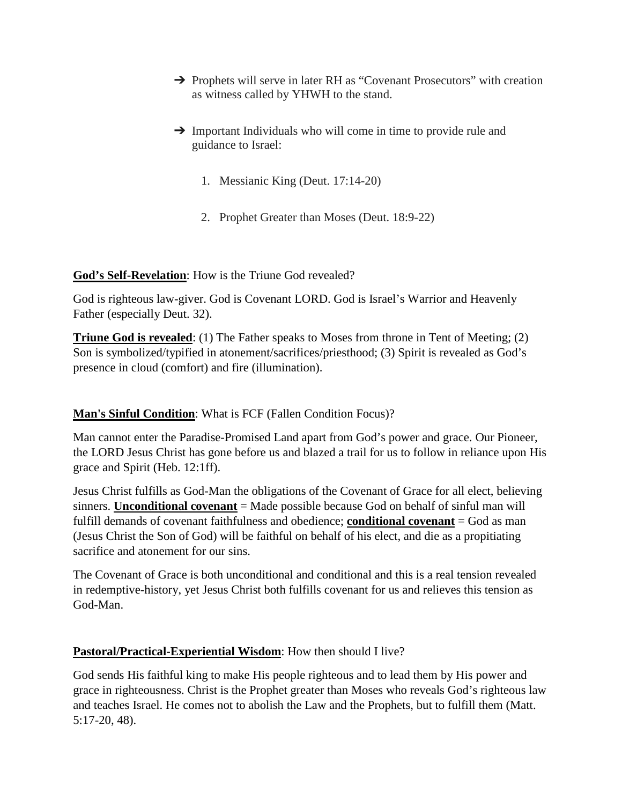- → Prophets will serve in later RH as "Covenant Prosecutors" with creation as witness called by YHWH to the stand.
- **→** Important Individuals who will come in time to provide rule and guidance to Israel:
	- 1. Messianic King (Deut. 17:14-20)
	- 2. Prophet Greater than Moses (Deut. 18:9-22)

## **God's Self-Revelation**: How is the Triune God revealed?

God is righteous law-giver. God is Covenant LORD. God is Israel's Warrior and Heavenly Father (especially Deut. 32).

**Triune God is revealed**: (1) The Father speaks to Moses from throne in Tent of Meeting; (2) Son is symbolized/typified in atonement/sacrifices/priesthood; (3) Spirit is revealed as God's presence in cloud (comfort) and fire (illumination).

# **Man's Sinful Condition**: What is FCF (Fallen Condition Focus)?

Man cannot enter the Paradise-Promised Land apart from God's power and grace. Our Pioneer, the LORD Jesus Christ has gone before us and blazed a trail for us to follow in reliance upon His grace and Spirit (Heb. 12:1ff).

Jesus Christ fulfills as God-Man the obligations of the Covenant of Grace for all elect, believing sinners. **Unconditional covenant** = Made possible because God on behalf of sinful man will fulfill demands of covenant faithfulness and obedience; **conditional covenant** = God as man (Jesus Christ the Son of God) will be faithful on behalf of his elect, and die as a propitiating sacrifice and atonement for our sins.

The Covenant of Grace is both unconditional and conditional and this is a real tension revealed in redemptive-history, yet Jesus Christ both fulfills covenant for us and relieves this tension as God-Man.

## **Pastoral/Practical-Experiential Wisdom**: How then should I live?

God sends His faithful king to make His people righteous and to lead them by His power and grace in righteousness. Christ is the Prophet greater than Moses who reveals God's righteous law and teaches Israel. He comes not to abolish the Law and the Prophets, but to fulfill them (Matt. 5:17-20, 48).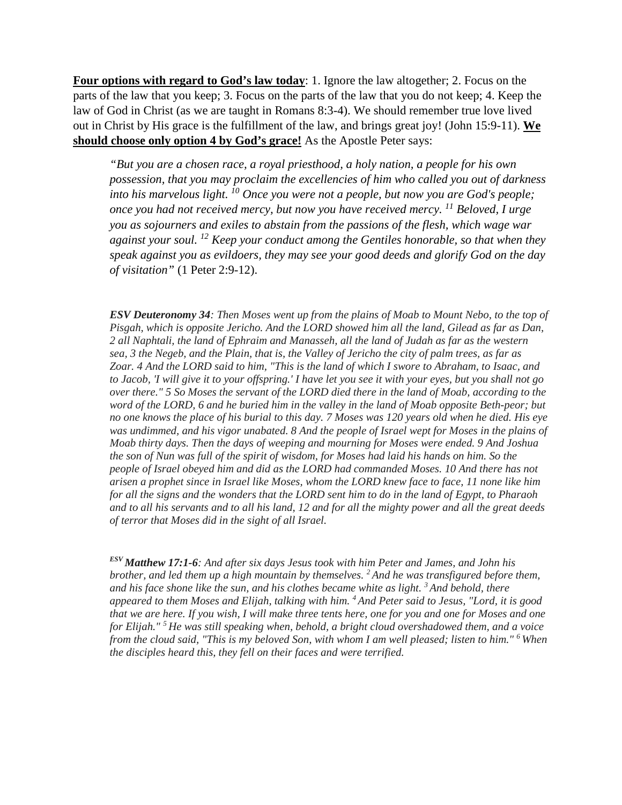**Four options with regard to God's law today**: 1. Ignore the law altogether; 2. Focus on the parts of the law that you keep; 3. Focus on the parts of the law that you do not keep; 4. Keep the law of God in Christ (as we are taught in Romans 8:3-4). We should remember true love lived out in Christ by His grace is the fulfillment of the law, and brings great joy! (John 15:9-11). **We should choose only option 4 by God's grace!** As the Apostle Peter says:

*"But you are a chosen race, a royal priesthood, a holy nation, a people for his own possession, that you may proclaim the excellencies of him who called you out of darkness into his marvelous light. 10 Once you were not a people, but now you are God's people; once you had not received mercy, but now you have received mercy. 11 Beloved, I urge you as sojourners and exiles to abstain from the passions of the flesh, which wage war against your soul. 12 Keep your conduct among the Gentiles honorable, so that when they speak against you as evildoers, they may see your good deeds and glorify God on the day of visitation"* (1 Peter 2:9-12).

*ESV Deuteronomy 34: Then Moses went up from the plains of Moab to Mount Nebo, to the top of Pisgah, which is opposite Jericho. And the LORD showed him all the land, Gilead as far as Dan, 2 all Naphtali, the land of Ephraim and Manasseh, all the land of Judah as far as the western sea, 3 the Negeb, and the Plain, that is, the Valley of Jericho the city of palm trees, as far as Zoar. 4 And the LORD said to him, "This is the land of which I swore to Abraham, to Isaac, and to Jacob, 'I will give it to your offspring.' I have let you see it with your eyes, but you shall not go over there." 5 So Moses the servant of the LORD died there in the land of Moab, according to the word of the LORD, 6 and he buried him in the valley in the land of Moab opposite Beth-peor; but no one knows the place of his burial to this day. 7 Moses was 120 years old when he died. His eye*  was undimmed, and his vigor unabated. 8 And the people of Israel wept for Moses in the plains of *Moab thirty days. Then the days of weeping and mourning for Moses were ended. 9 And Joshua the son of Nun was full of the spirit of wisdom, for Moses had laid his hands on him. So the people of Israel obeyed him and did as the LORD had commanded Moses. 10 And there has not arisen a prophet since in Israel like Moses, whom the LORD knew face to face, 11 none like him for all the signs and the wonders that the LORD sent him to do in the land of Egypt, to Pharaoh and to all his servants and to all his land, 12 and for all the mighty power and all the great deeds of terror that Moses did in the sight of all Israel.*

*ESV Matthew 17:1-6: And after six days Jesus took with him Peter and James, and John his brother, and led them up a high mountain by themselves. 2 And he was transfigured before them, and his face shone like the sun, and his clothes became white as light. 3 And behold, there appeared to them Moses and Elijah, talking with him. 4 And Peter said to Jesus, "Lord, it is good that we are here. If you wish, I will make three tents here, one for you and one for Moses and one for Elijah." 5 He was still speaking when, behold, a bright cloud overshadowed them, and a voice from the cloud said, "This is my beloved Son, with whom I am well pleased; listen to him." 6 When the disciples heard this, they fell on their faces and were terrified.*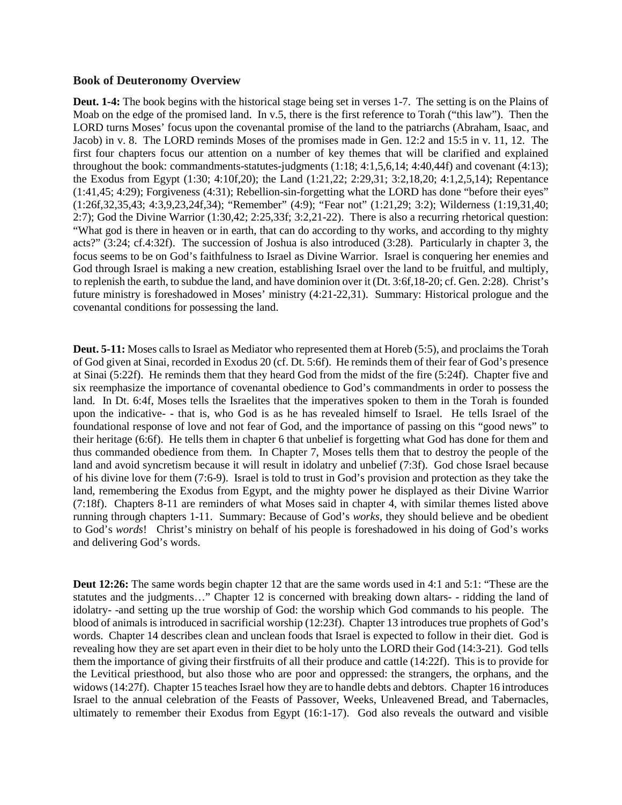#### **Book of Deuteronomy Overview**

**Deut. 1-4:** The book begins with the historical stage being set in verses 1-7. The setting is on the Plains of Moab on the edge of the promised land. In v.5, there is the first reference to Torah ("this law"). Then the LORD turns Moses' focus upon the covenantal promise of the land to the patriarchs (Abraham, Isaac, and Jacob) in v. 8. The LORD reminds Moses of the promises made in Gen. 12:2 and 15:5 in v. 11, 12. The first four chapters focus our attention on a number of key themes that will be clarified and explained throughout the book: commandments-statutes-judgments (1:18; 4:1,5,6,14; 4:40,44f) and covenant (4:13); the Exodus from Egypt (1:30; 4:10f,20); the Land (1:21,22; 2:29,31; 3:2,18,20; 4:1,2,5,14); Repentance (1:41,45; 4:29); Forgiveness (4:31); Rebellion-sin-forgetting what the LORD has done "before their eyes" (1:26f,32,35,43; 4:3,9,23,24f,34); "Remember" (4:9); "Fear not" (1:21,29; 3:2); Wilderness (1:19,31,40; 2:7); God the Divine Warrior (1:30,42; 2:25,33f; 3:2,21-22). There is also a recurring rhetorical question: "What god is there in heaven or in earth, that can do according to thy works, and according to thy mighty acts?" (3:24; cf.4:32f). The succession of Joshua is also introduced (3:28). Particularly in chapter 3, the focus seems to be on God's faithfulness to Israel as Divine Warrior. Israel is conquering her enemies and God through Israel is making a new creation, establishing Israel over the land to be fruitful, and multiply, to replenish the earth, to subdue the land, and have dominion over it (Dt. 3:6f,18-20; cf. Gen. 2:28). Christ's future ministry is foreshadowed in Moses' ministry (4:21-22,31). Summary: Historical prologue and the covenantal conditions for possessing the land.

**Deut. 5-11:** Moses calls to Israel as Mediator who represented them at Horeb (5:5), and proclaims the Torah of God given at Sinai, recorded in Exodus 20 (cf. Dt. 5:6f). He reminds them of their fear of God's presence at Sinai (5:22f). He reminds them that they heard God from the midst of the fire (5:24f). Chapter five and six reemphasize the importance of covenantal obedience to God's commandments in order to possess the land. In Dt. 6:4f, Moses tells the Israelites that the imperatives spoken to them in the Torah is founded upon the indicative- - that is, who God is as he has revealed himself to Israel. He tells Israel of the foundational response of love and not fear of God, and the importance of passing on this "good news" to their heritage (6:6f). He tells them in chapter 6 that unbelief is forgetting what God has done for them and thus commanded obedience from them. In Chapter 7, Moses tells them that to destroy the people of the land and avoid syncretism because it will result in idolatry and unbelief (7:3f). God chose Israel because of his divine love for them (7:6-9). Israel is told to trust in God's provision and protection as they take the land, remembering the Exodus from Egypt, and the mighty power he displayed as their Divine Warrior (7:18f). Chapters 8-11 are reminders of what Moses said in chapter 4, with similar themes listed above running through chapters 1-11. Summary: Because of God's *works*, they should believe and be obedient to God's *words*! Christ's ministry on behalf of his people is foreshadowed in his doing of God's works and delivering God's words.

**Deut 12:26:** The same words begin chapter 12 that are the same words used in 4:1 and 5:1: "These are the statutes and the judgments…" Chapter 12 is concerned with breaking down altars- - ridding the land of idolatry- -and setting up the true worship of God: the worship which God commands to his people. The blood of animals is introduced in sacrificial worship (12:23f). Chapter 13 introduces true prophets of God's words. Chapter 14 describes clean and unclean foods that Israel is expected to follow in their diet. God is revealing how they are set apart even in their diet to be holy unto the LORD their God (14:3-21). God tells them the importance of giving their firstfruits of all their produce and cattle (14:22f). This is to provide for the Levitical priesthood, but also those who are poor and oppressed: the strangers, the orphans, and the widows (14:27f). Chapter 15 teaches Israel how they are to handle debts and debtors. Chapter 16 introduces Israel to the annual celebration of the Feasts of Passover, Weeks, Unleavened Bread, and Tabernacles, ultimately to remember their Exodus from Egypt (16:1-17). God also reveals the outward and visible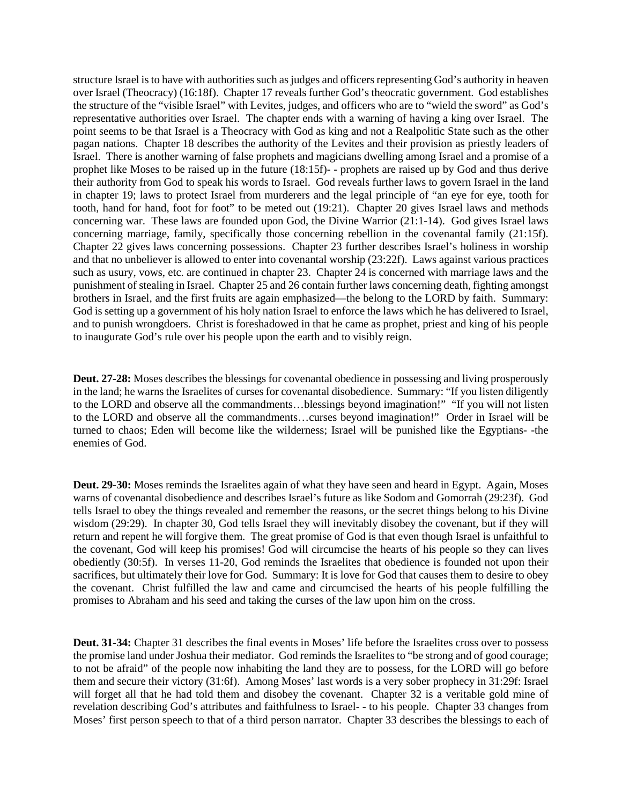structure Israel is to have with authorities such as judges and officers representing God's authority in heaven over Israel (Theocracy) (16:18f). Chapter 17 reveals further God's theocratic government. God establishes the structure of the "visible Israel" with Levites, judges, and officers who are to "wield the sword" as God's representative authorities over Israel. The chapter ends with a warning of having a king over Israel. The point seems to be that Israel is a Theocracy with God as king and not a Realpolitic State such as the other pagan nations. Chapter 18 describes the authority of the Levites and their provision as priestly leaders of Israel. There is another warning of false prophets and magicians dwelling among Israel and a promise of a prophet like Moses to be raised up in the future (18:15f)- - prophets are raised up by God and thus derive their authority from God to speak his words to Israel. God reveals further laws to govern Israel in the land in chapter 19; laws to protect Israel from murderers and the legal principle of "an eye for eye, tooth for tooth, hand for hand, foot for foot" to be meted out (19:21). Chapter 20 gives Israel laws and methods concerning war. These laws are founded upon God, the Divine Warrior (21:1-14). God gives Israel laws concerning marriage, family, specifically those concerning rebellion in the covenantal family (21:15f). Chapter 22 gives laws concerning possessions. Chapter 23 further describes Israel's holiness in worship and that no unbeliever is allowed to enter into covenantal worship (23:22f). Laws against various practices such as usury, vows, etc. are continued in chapter 23. Chapter 24 is concerned with marriage laws and the punishment of stealing in Israel. Chapter 25 and 26 contain further laws concerning death, fighting amongst brothers in Israel, and the first fruits are again emphasized—the belong to the LORD by faith. Summary: God is setting up a government of his holy nation Israel to enforce the laws which he has delivered to Israel, and to punish wrongdoers. Christ is foreshadowed in that he came as prophet, priest and king of his people to inaugurate God's rule over his people upon the earth and to visibly reign.

**Deut. 27-28:** Moses describes the blessings for covenantal obedience in possessing and living prosperously in the land; he warns the Israelites of curses for covenantal disobedience. Summary: "If you listen diligently to the LORD and observe all the commandments…blessings beyond imagination!" "If you will not listen to the LORD and observe all the commandments…curses beyond imagination!" Order in Israel will be turned to chaos; Eden will become like the wilderness; Israel will be punished like the Egyptians- -the enemies of God.

**Deut. 29-30:** Moses reminds the Israelites again of what they have seen and heard in Egypt. Again, Moses warns of covenantal disobedience and describes Israel's future as like Sodom and Gomorrah (29:23f). God tells Israel to obey the things revealed and remember the reasons, or the secret things belong to his Divine wisdom (29:29). In chapter 30, God tells Israel they will inevitably disobey the covenant, but if they will return and repent he will forgive them. The great promise of God is that even though Israel is unfaithful to the covenant, God will keep his promises! God will circumcise the hearts of his people so they can lives obediently (30:5f). In verses 11-20, God reminds the Israelites that obedience is founded not upon their sacrifices, but ultimately their love for God. Summary: It is love for God that causes them to desire to obey the covenant. Christ fulfilled the law and came and circumcised the hearts of his people fulfilling the promises to Abraham and his seed and taking the curses of the law upon him on the cross.

**Deut. 31-34:** Chapter 31 describes the final events in Moses' life before the Israelites cross over to possess the promise land under Joshua their mediator. God reminds the Israelites to "be strong and of good courage; to not be afraid" of the people now inhabiting the land they are to possess, for the LORD will go before them and secure their victory (31:6f). Among Moses' last words is a very sober prophecy in 31:29f: Israel will forget all that he had told them and disobey the covenant. Chapter 32 is a veritable gold mine of revelation describing God's attributes and faithfulness to Israel- - to his people. Chapter 33 changes from Moses' first person speech to that of a third person narrator. Chapter 33 describes the blessings to each of